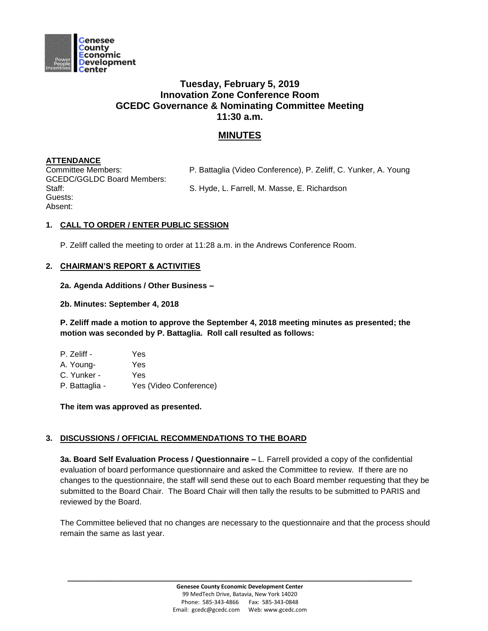

# **Tuesday, February 5, 2019 Innovation Zone Conference Room GCEDC Governance & Nominating Committee Meeting 11:30 a.m.**

## **MINUTES**

### **ATTENDANCE**

GCEDC/GGLDC Board Members: Guests: Absent:

Committee Members: P. Battaglia (Video Conference), P. Zeliff, C. Yunker, A. Young

Staff: S. Hyde, L. Farrell, M. Masse, E. Richardson

### **1. CALL TO ORDER / ENTER PUBLIC SESSION**

P. Zeliff called the meeting to order at 11:28 a.m. in the Andrews Conference Room.

#### **2. CHAIRMAN'S REPORT & ACTIVITIES**

#### **2a. Agenda Additions / Other Business –**

#### **2b. Minutes: September 4, 2018**

**P. Zeliff made a motion to approve the September 4, 2018 meeting minutes as presented; the motion was seconded by P. Battaglia. Roll call resulted as follows:**

| P. Zeliff -    | Yes                    |
|----------------|------------------------|
| A. Young-      | Yes                    |
| C. Yunker -    | Yes                    |
| P. Battaglia - | Yes (Video Conference) |

**The item was approved as presented.** 

#### **3. DISCUSSIONS / OFFICIAL RECOMMENDATIONS TO THE BOARD**

**3a. Board Self Evaluation Process / Questionnaire –** L. Farrell provided a copy of the confidential evaluation of board performance questionnaire and asked the Committee to review. If there are no changes to the questionnaire, the staff will send these out to each Board member requesting that they be submitted to the Board Chair. The Board Chair will then tally the results to be submitted to PARIS and reviewed by the Board.

The Committee believed that no changes are necessary to the questionnaire and that the process should remain the same as last year.

**\_\_\_\_\_\_\_\_\_\_\_\_\_\_\_\_\_\_\_\_\_\_\_\_\_\_\_\_\_\_\_\_\_\_\_\_\_\_\_\_\_\_\_\_\_\_\_\_\_\_\_\_\_\_\_\_\_\_\_\_\_\_\_\_\_\_\_\_\_\_\_\_**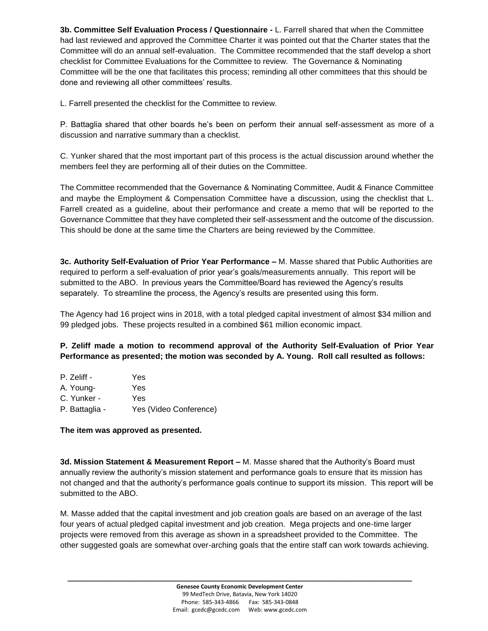**3b. Committee Self Evaluation Process / Questionnaire -** L. Farrell shared that when the Committee had last reviewed and approved the Committee Charter it was pointed out that the Charter states that the Committee will do an annual self-evaluation. The Committee recommended that the staff develop a short checklist for Committee Evaluations for the Committee to review. The Governance & Nominating Committee will be the one that facilitates this process; reminding all other committees that this should be done and reviewing all other committees' results.

L. Farrell presented the checklist for the Committee to review.

P. Battaglia shared that other boards he's been on perform their annual self-assessment as more of a discussion and narrative summary than a checklist.

C. Yunker shared that the most important part of this process is the actual discussion around whether the members feel they are performing all of their duties on the Committee.

The Committee recommended that the Governance & Nominating Committee, Audit & Finance Committee and maybe the Employment & Compensation Committee have a discussion, using the checklist that L. Farrell created as a guideline, about their performance and create a memo that will be reported to the Governance Committee that they have completed their self-assessment and the outcome of the discussion. This should be done at the same time the Charters are being reviewed by the Committee.

**3c. Authority Self-Evaluation of Prior Year Performance –** M. Masse shared that Public Authorities are required to perform a self-evaluation of prior year's goals/measurements annually. This report will be submitted to the ABO. In previous years the Committee/Board has reviewed the Agency's results separately. To streamline the process, the Agency's results are presented using this form.

The Agency had 16 project wins in 2018, with a total pledged capital investment of almost \$34 million and 99 pledged jobs. These projects resulted in a combined \$61 million economic impact.

**P. Zeliff made a motion to recommend approval of the Authority Self-Evaluation of Prior Year Performance as presented; the motion was seconded by A. Young. Roll call resulted as follows:**

| P. Zeliff -    | Yes                    |
|----------------|------------------------|
| A. Young-      | Yes                    |
| C. Yunker -    | Yes                    |
| P. Battaglia - | Yes (Video Conference) |

**The item was approved as presented.** 

**3d. Mission Statement & Measurement Report –** M. Masse shared that the Authority's Board must annually review the authority's mission statement and performance goals to ensure that its mission has not changed and that the authority's performance goals continue to support its mission. This report will be submitted to the ABO.

M. Masse added that the capital investment and job creation goals are based on an average of the last four years of actual pledged capital investment and job creation. Mega projects and one-time larger projects were removed from this average as shown in a spreadsheet provided to the Committee. The other suggested goals are somewhat over-arching goals that the entire staff can work towards achieving.